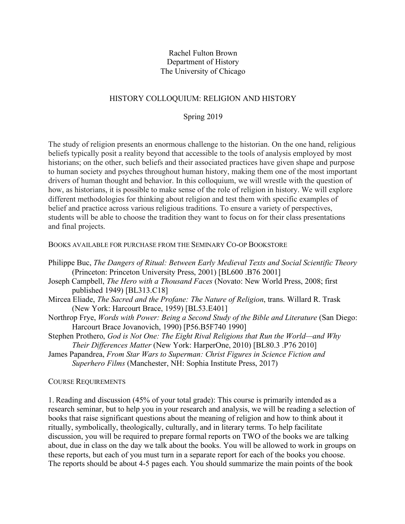#### Rachel Fulton Brown Department of History The University of Chicago

## HISTORY COLLOQUIUM: RELIGION AND HISTORY

#### Spring 2019

The study of religion presents an enormous challenge to the historian. On the one hand, religious beliefs typically posit a reality beyond that accessible to the tools of analysis employed by most historians; on the other, such beliefs and their associated practices have given shape and purpose to human society and psyches throughout human history, making them one of the most important drivers of human thought and behavior. In this colloquium, we will wrestle with the question of how, as historians, it is possible to make sense of the role of religion in history. We will explore different methodologies for thinking about religion and test them with specific examples of belief and practice across various religious traditions. To ensure a variety of perspectives, students will be able to choose the tradition they want to focus on for their class presentations and final projects.

#### BOOKS AVAILABLE FOR PURCHASE FROM THE SEMINARY CO-OP BOOKSTORE

- Philippe Buc, *The Dangers of Ritual: Between Early Medieval Texts and Social Scientific Theory* (Princeton: Princeton University Press, 2001) [BL600 .B76 2001]
- Joseph Campbell, *The Hero with a Thousand Faces* (Novato: New World Press, 2008; first published 1949) [BL313.C18]
- Mircea Eliade, *The Sacred and the Profane: The Nature of Religion*, trans. Willard R. Trask (New York: Harcourt Brace, 1959) [BL53.E401]
- Northrop Frye, *Words with Power: Being a Second Study of the Bible and Literature* (San Diego: Harcourt Brace Jovanovich, 1990) [P56.B5F740 1990]
- Stephen Prothero, *God is Not One: The Eight Rival Religions that Run the World—and Why Their Differences Matter* (New York: HarperOne, 2010) [BL80.3 .P76 2010]
- James Papandrea, *From Star Wars to Superman: Christ Figures in Science Fiction and Superhero Films* (Manchester, NH: Sophia Institute Press, 2017)

#### COURSE REQUIREMENTS

1. Reading and discussion (45% of your total grade): This course is primarily intended as a research seminar, but to help you in your research and analysis, we will be reading a selection of books that raise significant questions about the meaning of religion and how to think about it ritually, symbolically, theologically, culturally, and in literary terms. To help facilitate discussion, you will be required to prepare formal reports on TWO of the books we are talking about, due in class on the day we talk about the books. You will be allowed to work in groups on these reports, but each of you must turn in a separate report for each of the books you choose. The reports should be about 4-5 pages each. You should summarize the main points of the book